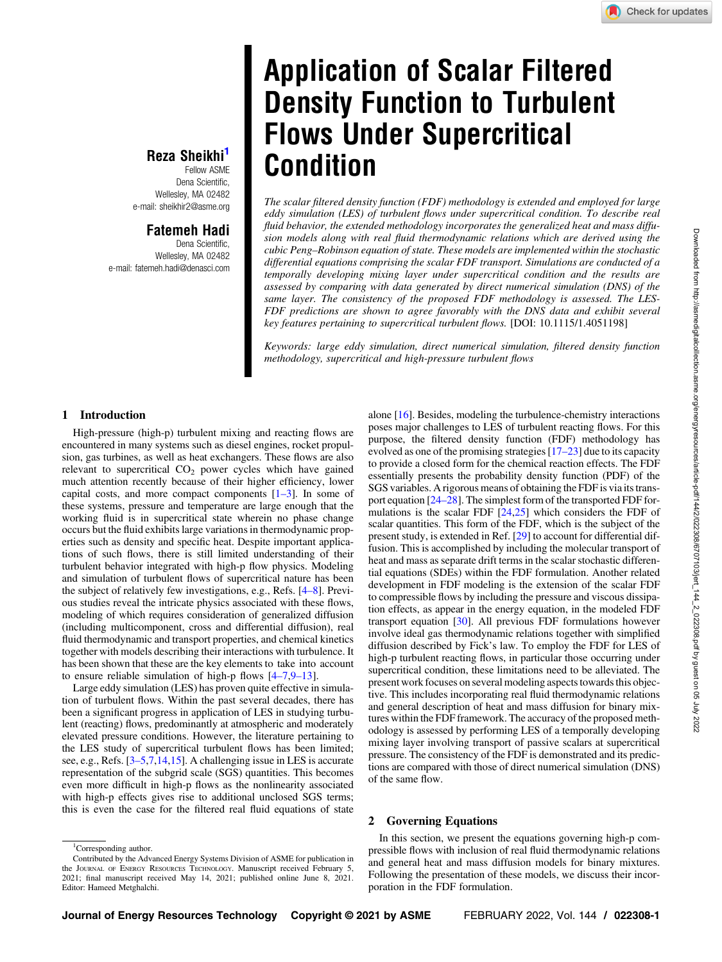# Application of Scalar Filtered Density Function to Turbulent Flows Under Supercritical Condition

The scalar filtered density function (FDF) methodology is extended and employed for large eddy simulation (LES) of turbulent flows under supercritical condition. To describe real fluid behavior, the extended methodology incorporates the generalized heat and mass diffusion models along with real fluid thermodynamic relations which are derived using the cubic Peng–Robinson equation of state. These models are implemented within the stochastic differential equations comprising the scalar FDF transport. Simulations are conducted of a temporally developing mixing layer under supercritical condition and the results are assessed by comparing with data generated by direct numerical simulation (DNS) of the same layer. The consistency of the proposed FDF methodology is assessed. The LES-FDF predictions are shown to agree favorably with the DNS data and exhibit several key features pertaining to supercritical turbulent flows. [DOI: 10.1115/1.4051198]

Keywords: large eddy simulation, direct numerical simulation, filtered density function methodology, supercritical and high-pressure turbulent flows

## Reza Sheikhi<sup>1</sup> Fellow ASME

Dena Scientific, Wellesley, MA 02482 e-mail: [sheikhir2@asme.org](mailto:sheikhir2@asme.org)

# Fatemeh Hadi

Dena Scientific, Wellesley, MA 02482 e-mail: [fatemeh.hadi@denasci.com](mailto:fatemeh.hadi@denasci.com)

### 1 Introduction

High-pressure (high-p) turbulent mixing and reacting flows are encountered in many systems such as diesel engines, rocket propulsion, gas turbines, as well as heat exchangers. These flows are also relevant to supercritical  $CO<sub>2</sub>$  power cycles which have gained much attention recently because of their higher efficiency, lower capital costs, and more compact components  $[1-3]$ . In some of these systems, pressure and temperature are large enough that the working fluid is in supercritical state wherein no phase change occurs but the fluid exhibits large variations in thermodynamic properties such as density and specific heat. Despite important applications of such flows, there is still limited understanding of their turbulent behavior integrated with high-p flow physics. Modeling and simulation of turbulent flows of supercritical nature has been the subject of relatively few investigations, e.g., Refs. [4–8]. Previous studies reveal the intricate physics associated with these flows, modeling of which requires consideration of generalized diffusion (including multicomponent, cross and differential diffusion), real fluid thermodynamic and transport properties, and chemical kinetics together with models describing their interactions with turbulence. It has been shown that these are the key elements to take into account to ensure reliable simulation of high-p flows  $[4-7,9-13]$ .

Large eddy simulation (LES) has proven quite effective in simulation of turbulent flows. Within the past several decades, there has been a significant progress in application of LES in studying turbulent (reacting) flows, predominantly at atmospheric and moderately elevated pressure conditions. However, the literature pertaining to the LES study of supercritical turbulent flows has been limited; see, e.g., Refs. [3–5[,7,14,15](#page-6-0)]. A challenging issue in LES is accurate representation of the subgrid scale (SGS) quantities. This becomes even more difficult in high-p flows as the nonlinearity associated with high-p effects gives rise to additional unclosed SGS terms; this is even the case for the filtered real fluid equations of state

alone [\[16](#page-6-0)]. Besides, modeling the turbulence-chemistry interactions poses major challenges to LES of turbulent reacting flows. For this purpose, the filtered density function (FDF) methodology has evolved as one of the promising strategies [17–23] due to its capacity to provide a closed form for the chemical reaction effects. The FDF essentially presents the probability density function (PDF) of the SGS variables. A rigorous means of obtaining the FDF is via its transport equation [24–28]. The simplest form of the transported FDF formulations is the scalar FDF  $[24,25]$  which considers the FDF of scalar quantities. This form of the FDF, which is the subject of the present study, is extended in Ref. [[29\]](#page-7-0) to account for differential diffusion. This is accomplished by including the molecular transport of heat and mass as separate drift terms in the scalar stochastic differential equations (SDEs) within the FDF formulation. Another related development in FDF modeling is the extension of the scalar FDF to compressible flows by including the pressure and viscous dissipation effects, as appear in the energy equation, in the modeled FDF transport equation [[30\]](#page-7-0). All previous FDF formulations however involve ideal gas thermodynamic relations together with simplified diffusion described by Fick's law. To employ the FDF for LES of high-p turbulent reacting flows, in particular those occurring under supercritical condition, these limitations need to be alleviated. The present work focuses on several modeling aspects towards this objective. This includes incorporating real fluid thermodynamic relations and general description of heat and mass diffusion for binary mixtures within the FDF framework. The accuracy of the proposed methodology is assessed by performing LES of a temporally developing mixing layer involving transport of passive scalars at supercritical pressure. The consistency of the FDF is demonstrated and its predictions are compared with those of direct numerical simulation (DNS) of the same flow.

### 2 Governing Equations

In this section, we present the equations governing high-p compressible flows with inclusion of real fluid thermodynamic relations and general heat and mass diffusion models for binary mixtures. Following the presentation of these models, we discuss their incorporation in the FDF formulation.

<sup>&</sup>lt;sup>1</sup>Corresponding author.

Contributed by the Advanced Energy Systems Division of ASME for publication in the JOURNAL OF ENERGY RESOURCES TECHNOLOGY. Manuscript received February 5, 2021; final manuscript received May 14, 2021; published online June 8, 2021. Editor: Hameed Metghalchi.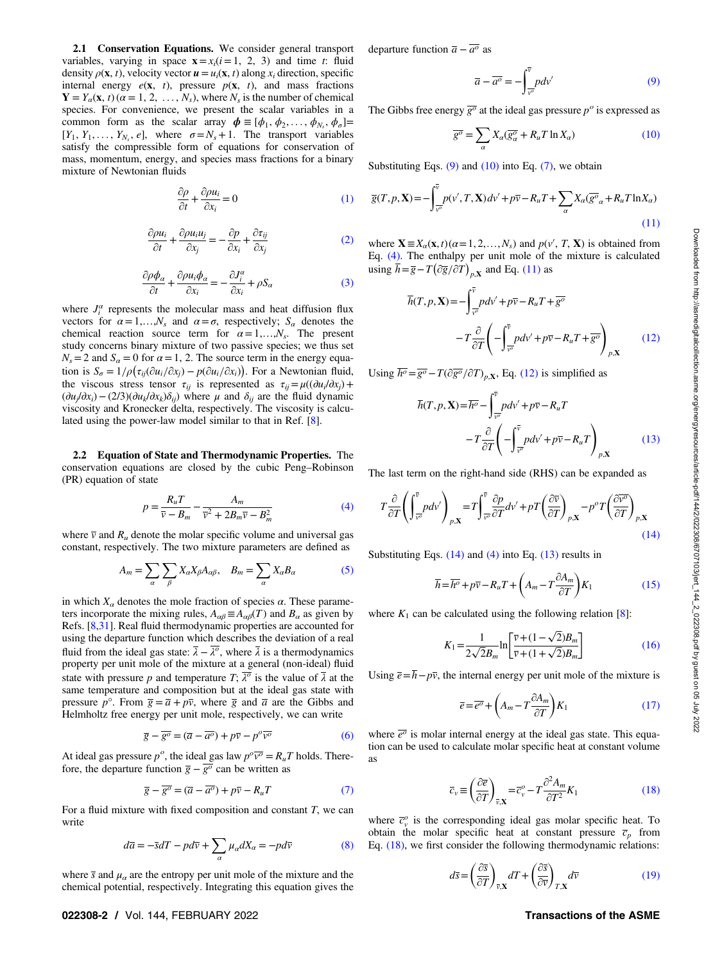<span id="page-1-0"></span>2.1 Conservation Equations. We consider general transport variables, varying in space  $\mathbf{x} = x_i (i = 1, 2, 3)$  and time t: fluid density  $\rho(\mathbf{x}, t)$ , velocity vector  $\mathbf{u} = u_i(\mathbf{x}, t)$  along  $x_i$  direction, specific internal energy  $e(x, t)$ , pressure  $p(x, t)$ , and mass fractions  $Y = Y_{\alpha}(x, t)$  ( $\alpha = 1, 2, ..., N_s$ ), where  $N_s$  is the number of chemical species. For convenience, we present the scalar variables in a common form as the scalar array  $\boldsymbol{\phi} \equiv [\phi_1, \phi_2, \dots, \phi_{N_s}, \phi_{\sigma}] =$  $[Y_1, Y_1, \ldots, Y_{N_s}, e]$ , where  $\sigma = N_s + 1$ . The transport variables satisfy the compressible form of equations for conservation of mass, momentum, energy, and species mass fractions for a binary mixture of Newtonian fluids

$$
\frac{\partial \rho}{\partial t} + \frac{\partial \rho u_i}{\partial x_i} = 0 \tag{1}
$$

$$
\frac{\partial \rho u_i}{\partial t} + \frac{\partial \rho u_i u_j}{\partial x_j} = -\frac{\partial p}{\partial x_i} + \frac{\partial \tau_{ij}}{\partial x_j}
$$
(2)

$$
\frac{\partial \rho \phi_{\alpha}}{\partial t} + \frac{\partial \rho u_i \phi_{\alpha}}{\partial x_i} = -\frac{\partial J_i^{\alpha}}{\partial x_i} + \rho S_{\alpha}
$$
 (3)

where  $J_i^{\alpha}$  represents the molecular mass and heat diffusion flux vectors for  $\alpha = 1,...,N_s$  and  $\alpha = \sigma$ , respectively;  $S_{\alpha}$  denotes the chemical reaction source term for  $\alpha = 1,...,N_s$ . The present study concerns binary mixture of two passive species; we thus set  $N_s = 2$  and  $S_\alpha = 0$  for  $\alpha = 1, 2$ . The source term in the energy equation is  $S_{\sigma} = 1/\rho \left( \tau_{ij} (\partial u_i/\partial x_j) - p(\partial u_i/\partial x_i) \right)$ . For a Newtonian fluid, the viscous stress tensor  $\tau_{ij}$  is represented as  $\tau_{ij} = \mu((\partial u_i/\partial x_j) +$  $(\partial u_i/\partial x_i)$  – (2/3) $(\partial u_k/\partial x_k)\delta_{ii}$ ) where  $\mu$  and  $\delta_{ii}$  are the fluid dynamic viscosity and Kronecker delta, respectively. The viscosity is calculated using the power-law model similar to that in Ref. [[8\]](#page-6-0).

2.2 Equation of State and Thermodynamic Properties. The conservation equations are closed by the cubic Peng–Robinson (PR) equation of state

$$
p = \frac{R_u T}{\overline{v} - B_m} - \frac{A_m}{\overline{v}^2 + 2B_m \overline{v} - B_m^2}
$$
(4)

where  $\overline{v}$  and  $R_u$  denote the molar specific volume and universal gas constant, respectively. The two mixture parameters are defined as

$$
A_m = \sum_{\alpha} \sum_{\beta} X_{\alpha} X_{\beta} A_{\alpha \beta}, \quad B_m = \sum_{\alpha} X_{\alpha} B_{\alpha} \tag{5}
$$

in which  $X_\alpha$  denotes the mole fraction of species  $\alpha$ . These parameters incorporate the mixing rules,  $A_{\alpha\beta} \equiv A_{\alpha\beta}(T)$  and  $B_{\alpha}$  as given by Refs. [\[8](#page-6-0)[,31](#page-7-0)]. Real fluid thermodynamic properties are accounted for using the departure function which describes the deviation of a real fluid from the ideal gas state:  $\bar{\lambda} - \bar{\lambda}^0$ , where  $\bar{\lambda}$  is a thermodynamics property per unit mole of the mixture at a general (non-ideal) fluid state with pressure p and temperature T;  $\overline{\lambda}^0$  is the value of  $\overline{\lambda}$  at the same temperature and composition but at the ideal gas state with pressure  $p^{\circ}$ . From  $\overline{g} = \overline{a} + p\overline{v}$ , where  $\overline{g}$  and  $\overline{a}$  are the Gibbs and Helmholtz free energy per unit mole, respectively, we can write

$$
\overline{g} - \overline{g^{\circ}} = (\overline{a} - \overline{a^{\circ}}) + p\overline{v} - p^{\circ}\overline{v^{\circ}}
$$
(6)

At ideal gas pressure  $p^o$ , the ideal gas law  $p^o \overline{v^o} = R_u T$  holds. Therefore, the departure function  $\overline{g} - \overline{g^{\circ}}$  can be written as

$$
\overline{g} - \overline{g^{\circ}} = (\overline{a} - \overline{a^{\circ}}) + p\overline{v} - R_u T \tag{7}
$$

For a fluid mixture with fixed composition and constant  $T$ , we can write

$$
d\overline{a} = -\overline{s}dT - pd\overline{v} + \sum_{\alpha} \mu_{\alpha} dX_{\alpha} = -pd\overline{v}
$$
 (8)

where  $\bar{s}$  and  $\mu_a$  are the entropy per unit mole of the mixture and the chemical potential, respectively. Integrating this equation gives the

#### 022308-2 / Vol. 144, FEBRUARY 2022 **Transactions of the ASME**

departure function  $\overline{a} - \overline{a^{\circ}}$  as

$$
\overline{a} - \overline{a^{\circ}} = -\int_{\overline{v^{\circ}}}^{\overline{v}} p d v' \tag{9}
$$

The Gibbs free energy  $\overline{g^o}$  at the ideal gas pressure  $p^o$  is expressed as

$$
\overline{g^{\circ}} = \sum_{\alpha} X_{\alpha} (\overline{g_{\alpha}^{\circ}} + R_{u} T \ln X_{\alpha})
$$
 (10)

Substituting Eqs.  $(9)$  and  $(10)$  into Eq.  $(7)$ , we obtain

$$
\overline{g}(T, p, \mathbf{X}) = -\int_{\overline{v^o}}^{\overline{v}} p(v', T, \mathbf{X}) dv' + p\overline{v} - R_u T + \sum_{\alpha} X_{\alpha} (\overline{g^o}_{\alpha} + R_u T \ln X_{\alpha})
$$
\n(11)

where  $\mathbf{X} \equiv X_{\alpha}(\mathbf{x}, t) (\alpha = 1, 2, ..., N_s)$  and  $p(v', T, \mathbf{X})$  is obtained from Eq. (4). The enthalpy per unit mole of the mixture is calculated using  $\overline{h} = \overline{g} - T(\partial \overline{g}/\partial T)_{p,\mathbf{X}}$  and Eq. (11) as

$$
\overline{h}(T, p, \mathbf{X}) = -\int_{\overline{v}^{\circ}}^{\overline{v}} p dv' + p \overline{v} - R_u T + \overline{g}^{\circ}
$$

$$
-T \frac{\partial}{\partial T} \left( -\int_{\overline{v}^{\circ}}^{\overline{v}} p dv' + p \overline{v} - R_u T + \overline{g}^{\circ} \right)_{p, \mathbf{X}} \tag{12}
$$

Using  $\overline{h^{\circ}} = \overline{g^{\circ}} - T(\partial \overline{g^{\circ}}/\partial T)_{p,\mathbf{X}}$ , Eq. (12) is simplified as

$$
\overline{h}(T, p, \mathbf{X}) = \overline{h^{\circ}} - \int_{\overline{v^{\circ}}}^{\overline{v}} p d v' + p \overline{v} - R_u T
$$

$$
- T \frac{\partial}{\partial T} \left( - \int_{\overline{v^{\circ}}}^{\overline{v}} p d v' + p \overline{v} - R_u T \right)_{p, \mathbf{X}} \tag{13}
$$

The last term on the right-hand side (RHS) can be expanded as

$$
T\frac{\partial}{\partial T}\left(\int_{\overline{v}^p}^{\overline{v}}p dv'\right)_{p,\mathbf{X}} = T\int_{\overline{v}^p}^{\overline{v}}\frac{\partial p}{\partial T}dv' + pT\left(\frac{\partial \overline{v}}{\partial T}\right)_{p,\mathbf{X}} - p^o T\left(\frac{\partial \overline{v}^o}{\partial T}\right)_{p,\mathbf{X}}
$$
\n(14)

Substituting Eqs.  $(14)$  and  $(4)$  into Eq.  $(13)$  results in

$$
\overline{h} = \overline{h^o} + p\overline{v} - R_u T + \left(A_m - T\frac{\partial A_m}{\partial T}\right) K_1
$$
\n(15)

where  $K_1$  can be calculated using the following relation [\[8\]](#page-6-0):

$$
K_1 = \frac{1}{2\sqrt{2}B_m} \ln \left[ \frac{\overline{v} + (1 - \sqrt{2})B_m}{\overline{v} + (1 + \sqrt{2})B_m} \right]
$$
(16)

Using  $\overline{e} = \overline{h} - p\overline{v}$ , the internal energy per unit mole of the mixture is

$$
\overline{e} = \overline{e^{\circ}} + \left(A_m - T \frac{\partial A_m}{\partial T}\right) K_1
$$
\n(17)

where  $\overline{e^{\sigma}}$  is molar internal energy at the ideal gas state. This equation can be used to calculate molar specific heat at constant volume as

$$
\overline{c}_{v} \equiv \left(\frac{\partial \overline{e}}{\partial T}\right)_{\overline{v}, \mathbf{X}} = \overline{c}_{v}^{o} - T \frac{\partial^{2} A_{m}}{\partial T^{2}} K_{1}
$$
\n(18)

where  $\bar{c}_{v}^{\circ}$  is the corresponding ideal gas molar specific heat. To obtain the molar specific heat at constant pressure  $\overline{c}_p$  from Eq. (18), we first consider the following thermodynamic relations:

$$
d\overline{s} = \left(\frac{\partial \overline{s}}{\partial T}\right)_{\overline{v}, \mathbf{X}} dT + \left(\frac{\partial \overline{s}}{\partial \overline{v}}\right)_{T, \mathbf{X}} d\overline{v}
$$
(19)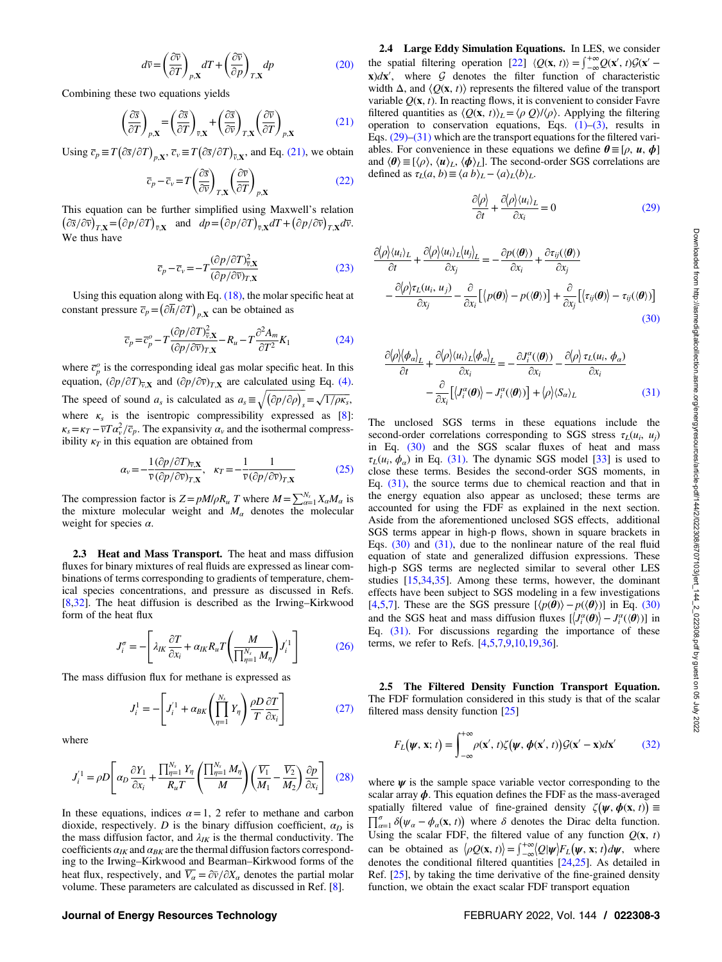$$
d\overline{v} = \left(\frac{\partial \overline{v}}{\partial T}\right)_{p,\mathbf{X}} dT + \left(\frac{\partial \overline{v}}{\partial p}\right)_{T,\mathbf{X}} dp \tag{20}
$$

<span id="page-2-0"></span>Combining these two equations yields

$$
\left(\frac{\partial \overline{s}}{\partial T}\right)_{p,\mathbf{X}} = \left(\frac{\partial \overline{s}}{\partial T}\right)_{\overline{v},\mathbf{X}} + \left(\frac{\partial \overline{s}}{\partial \overline{v}}\right)_{T,\mathbf{X}} \left(\frac{\partial \overline{v}}{\partial T}\right)_{p,\mathbf{X}}
$$
(21)

Using  $\overline{c}_p \equiv T(\partial \overline{s}/\partial T)_{p,\mathbf{X}}, \overline{c}_v \equiv T(\partial \overline{s}/\partial T)_{\overline{v},\mathbf{X}},$  and Eq. (21), we obtain

$$
\overline{c}_p - \overline{c}_v = T \left( \frac{\partial \overline{s}}{\partial \overline{v}} \right)_{T, \mathbf{X}} \left( \frac{\partial \overline{v}}{\partial T} \right)_{p, \mathbf{X}}
$$
(22)

This equation can be further simplified using Maxwell's relation  $(\partial \overline{s}/\partial \overline{v})_{T,\mathbf{X}} = (\partial p/\partial T)_{\overline{v},\mathbf{X}}$  and  $dp = (\partial p/\partial T)_{\overline{v},\mathbf{X}}dT + (\partial p/\partial \overline{v})_{T,\mathbf{X}}d\overline{v}$ . We thus have

$$
\overline{c}_p - \overline{c}_v = -T \frac{(\partial p/\partial T)^2_{v,X}}{(\partial p/\partial \overline{v})_{T,X}}
$$
(23)

Using this equation along with Eq. [\(18\)](#page-1-0), the molar specific heat at constant pressure  $\overline{c}_p = (\partial \overline{h}/\partial T)_{p,\mathbf{X}}$  can be obtained as

$$
\overline{c}_p = \overline{c}_p^o - T \frac{(\partial p/\partial T)^2_{v,\mathbf{X}}}{(\partial p/\partial v)_{T,\mathbf{X}}} - R_u - T \frac{\partial^2 A_m}{\partial T^2} K_1
$$
(24)

where  $\overline{c}_{p}^{\circ}$  is the corresponding ideal gas molar specific heat. In this equation,  $(\partial p/\partial T)_{\overline{v},\mathbf{X}}$  and  $(\partial p/\partial \overline{v})_{T,\mathbf{X}}$  are calculated using Eq. [\(4\).](#page-1-0) The speed of sound  $a_s$  is calculated as  $a_s \equiv \sqrt{\left(\frac{\partial p}{\partial \rho}\right)_s} = \sqrt{1/\rho\kappa_s}$ , where  $\kappa_s$  is the isentropic compressibility expressed as [\[8\]](#page-6-0):  $\kappa_s = \kappa_T - \overline{v}T\alpha_v^2/\overline{c}_p$ . The expansivity  $\alpha_v$  and the isothermal compressibility  $\kappa_T$  in this equation are obtained from

$$
\alpha_{v} = -\frac{1}{\overline{v}(\partial p/\partial T)_{\overline{v},\mathbf{X}}}, \quad \kappa_{T} = -\frac{1}{\overline{v}(\partial p/\partial \overline{v})_{T,\mathbf{X}}}
$$
(25)

The compression factor is  $Z = pM/\rho R_u$  T where  $M = \sum_{\alpha=1}^{N_s} X_{\alpha} M_{\alpha}$  is the mixture molecular weight and  $M_{\alpha}$  denotes the molecular weight for species  $\alpha$ .

2.3 Heat and Mass Transport. The heat and mass diffusion fluxes for binary mixtures of real fluids are expressed as linear combinations of terms corresponding to gradients of temperature, chemical species concentrations, and pressure as discussed in Refs. [[8](#page-6-0),[32\]](#page-7-0). The heat diffusion is described as the Irwing–Kirkwood form of the heat flux

$$
J_i^{\sigma} = -\left[\lambda_{IK}\frac{\partial T}{\partial x_i} + \alpha_{IK}R_u T\left(\frac{M}{\prod_{\eta=1}^{N_s}M_{\eta}}\right)J_i^{'1}\right]
$$
(26)

The mass diffusion flux for methane is expressed as

$$
J_i^1 = -\left[J_i^{'1} + \alpha_{BK} \left(\prod_{\eta=1}^{N_s} Y_\eta\right) \frac{\rho D}{T} \frac{\partial T}{\partial x_i}\right]
$$
(27)

where

$$
J_i^{'1} = \rho D \left[ \alpha_D \frac{\partial Y_1}{\partial x_i} + \frac{\prod_{\eta=1}^{N_s} Y_\eta}{R_u T} \left( \frac{\prod_{\eta=1}^{N_s} M_\eta}{M} \right) \left( \frac{\overline{V_1}}{M_1} - \frac{\overline{V_2}}{M_2} \right) \frac{\partial p}{\partial x_i} \right] \tag{28}
$$

In these equations, indices  $\alpha = 1$ , 2 refer to methane and carbon dioxide, respectively. D is the binary diffusion coefficient,  $\alpha_D$  is the mass diffusion factor, and  $\lambda_{IK}$  is the thermal conductivity. The coefficients  $\alpha_{IK}$  and  $\alpha_{BK}$  are the thermal diffusion factors corresponding to the Irwing–Kirkwood and Bearman–Kirkwood forms of the heat flux, respectively, and  $\overline{V_{\alpha}} = \partial \overline{\nu}/\partial X_{\alpha}$  denotes the partial molar volume. These parameters are calculated as discussed in Ref. [[8](#page-6-0)].

2.4 Large Eddy Simulation Equations. In LES, we consider the spatial filtering operation [\[22](#page-7-0)]  $\langle Q(\mathbf{x}, t) \rangle = \int_{-\infty}^{+\infty} Q(\mathbf{x}', t) \mathcal{G}(\mathbf{x}'$  $x)dx'$ , where G denotes the filter function of characteristic width  $\Delta$ , and  $\langle Q(\mathbf{x}, t) \rangle$  represents the filtered value of the transport variable  $Q(x, t)$ . In reacting flows, it is convenient to consider Favre filtered quantities as  $\langle Q(\mathbf{x}, t) \rangle_L = \langle \rho \ Q \rangle / \langle \rho \rangle$ . Applying the filtering operation to conservation equations, Eqs.  $(1)$ – $(3)$ , results in Eqs.  $(29)$ – $(31)$  which are the transport equations for the filtered variables. For convenience in these equations we define  $\theta \equiv [\rho, u, \phi]$ and  $\langle \theta \rangle \equiv [\langle \rho \rangle, \langle \psi \rangle_L, \langle \phi \rangle_L]$ . The second-order SGS correlations are defined as  $\tau_L(a, b) \equiv \langle a \, b \rangle_L - \langle a \rangle_L \langle b \rangle_L$ .

$$
\frac{\partial \langle \rho \rangle}{\partial t} + \frac{\partial \langle \rho \rangle \langle u_i \rangle_L}{\partial x_i} = 0 \tag{29}
$$

$$
\frac{\partial \langle \rho \rangle \langle u_i \rangle_L}{\partial t} + \frac{\partial \langle \rho \rangle \langle u_i \rangle_L \langle u_j \rangle_L}{\partial x_j} = -\frac{\partial p(\langle \theta \rangle)}{\partial x_i} + \frac{\partial \tau_{ij}(\langle \theta \rangle)}{\partial x_j}
$$

$$
-\frac{\partial \langle \rho \rangle \tau_L(u_i, u_j)}{\partial x_j} - \frac{\partial}{\partial x_i} [\langle p(\theta) \rangle - p(\langle \theta \rangle)] + \frac{\partial}{\partial x_j} [\langle \tau_{ij}(\theta) \rangle - \tau_{ij}(\langle \theta \rangle)] \tag{30}
$$

$$
\frac{\partial \langle \rho \rangle \langle \phi_{\alpha} \rangle_{L}}{\partial t} + \frac{\partial \langle \rho \rangle \langle u_{i} \rangle_{L} \langle \phi_{\alpha} \rangle_{L}}{\partial x_{i}} = -\frac{\partial J_{i}^{\alpha}(\langle \theta \rangle)}{\partial x_{i}} - \frac{\partial \langle \rho \rangle \tau_{L}(u_{i}, \phi_{\alpha})}{\partial x_{i}} - \frac{\partial}{\partial x_{i}} [\langle J_{i}^{\alpha}(\theta) \rangle - J_{i}^{\alpha}(\langle \theta \rangle)] + \langle \rho \rangle \langle S_{\alpha} \rangle_{L}
$$
(31)

The unclosed SGS terms in these equations include the second-order correlations corresponding to SGS stress  $\tau_L(u_i, u_j)$ in Eq. (30) and the SGS scalar fluxes of heat and mass  $\tau_L(u_i, \phi_\alpha)$  in Eq. (31). The dynamic SGS model [\[33](#page-7-0)] is used to close these terms. Besides the second-order SGS moments, in Eq.  $(31)$ , the source terms due to chemical reaction and that in the energy equation also appear as unclosed; these terms are accounted for using the FDF as explained in the next section. Aside from the aforementioned unclosed SGS effects, additional SGS terms appear in high-p flows, shown in square brackets in Eqs.  $(30)$  and  $(31)$ , due to the nonlinear nature of the real fluid equation of state and generalized diffusion expressions. These high-p SGS terms are neglected similar to several other LES studies [\[15](#page-6-0)[,34](#page-7-0),[35\]](#page-7-0). Among these terms, however, the dominant effects have been subject to SGS modeling in a few investigations [[4](#page-6-0),[5,7\]](#page-6-0). These are the SGS pressure  $[\langle p(\theta) \rangle - p(\langle \theta \rangle)]$  in Eq. (30) and the SGS heat and mass diffusion fluxes  $[\langle J_i^{\alpha}(\theta) \rangle - J_i^{\alpha}(\langle \theta \rangle)]$  in Eq. (31). For discussions regarding the importance of these terms, we refer to Refs. [\[4,5,7,9,10](#page-6-0)[,19,36](#page-7-0)].

2.5 The Filtered Density Function Transport Equation. The FDF formulation considered in this study is that of the scalar filtered mass density function [\[25](#page-7-0)]

$$
F_L(\boldsymbol{\psi}, \mathbf{x}; t) = \int_{-\infty}^{+\infty} \rho(\mathbf{x}', t) \zeta(\boldsymbol{\psi}, \boldsymbol{\phi}(\mathbf{x}', t)) \mathcal{G}(\mathbf{x}' - \mathbf{x}) d\mathbf{x}'
$$
(32)

where  $\psi$  is the sample space variable vector corresponding to the scalar array  $\phi$ . This equation defines the FDF as the mass-averaged spatially filtered value of fine-grained density  $\zeta(\psi, \phi(x, t)) \equiv$  $\prod_{\alpha=1}^{\sigma} \delta(\psi_{\alpha} - \phi_{\alpha}(\mathbf{x}, t))$  where  $\delta$  denotes the Dirac delta function. Using the scalar FDF, the filtered value of any function  $Q(\mathbf{x}, t)$ can be obtained as  $\langle \rho Q(\mathbf{x}, t) \rangle = \int_{-\infty}^{+\infty} \langle Q | \psi \rangle F_L(\psi, \mathbf{x}; t) d\psi$ , where denotes the conditional filtered quantities [[24,25](#page-7-0)]. As detailed in Ref. [[25\]](#page-7-0), by taking the time derivative of the fine-grained density function, we obtain the exact scalar FDF transport equation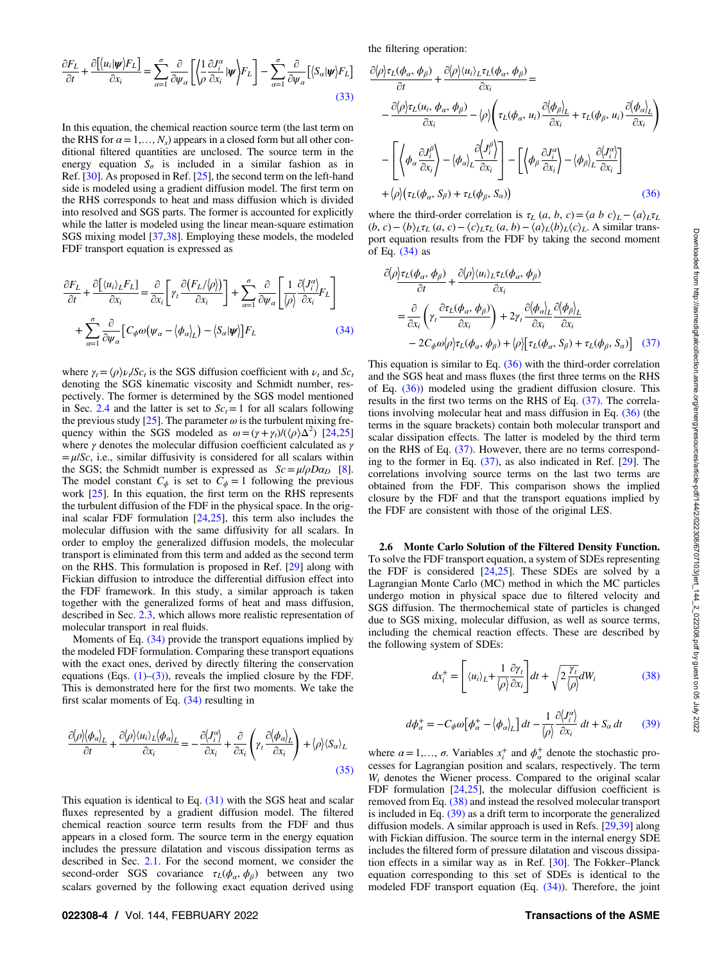the filtering operation:

<span id="page-3-0"></span>
$$
\frac{\partial F_L}{\partial t} + \frac{\partial \left[ \langle u_i | \mathbf{\psi} \rangle F_L \right]}{\partial x_i} = \sum_{\alpha=1}^{\sigma} \frac{\partial}{\partial \psi_{\alpha}} \left[ \langle \frac{1}{\rho} \frac{\partial J_i^{\alpha}}{\partial x_i} | \mathbf{\psi} \rangle F_L \right] - \sum_{\alpha=1}^{\sigma} \frac{\partial}{\partial \psi_{\alpha}} \left[ \langle S_{\alpha} | \mathbf{\psi} \rangle F_L \right]
$$
\n(33)

In this equation, the chemical reaction source term (the last term on the RHS for  $\alpha = 1, \ldots, N_s$ ) appears in a closed form but all other conditional filtered quantities are unclosed. The source term in the energy equation  $S_{\sigma}$  is included in a similar fashion as in Ref. [[30\]](#page-7-0). As proposed in Ref. [[25\]](#page-7-0), the second term on the left-hand side is modeled using a gradient diffusion model. The first term on the RHS corresponds to heat and mass diffusion which is divided into resolved and SGS parts. The former is accounted for explicitly while the latter is modeled using the linear mean-square estimation SGS mixing model [\[37](#page-7-0),[38\]](#page-7-0). Employing these models, the modeled FDF transport equation is expressed as

$$
\frac{\partial F_L}{\partial t} + \frac{\partial \left[ \langle u_i \rangle_L F_L \right]}{\partial x_i} = \frac{\partial}{\partial x_i} \left[ \gamma_t \frac{\partial (F_L/\langle \rho \rangle)}{\partial x_i} \right] + \sum_{\alpha=1}^{\sigma} \frac{\partial}{\partial \psi_{\alpha}} \left[ \frac{1}{\langle \rho \rangle} \frac{\partial \langle J_i^{\alpha} \rangle}{\partial x_i} F_L \right]
$$

$$
+ \sum_{\alpha=1}^{\sigma} \frac{\partial}{\partial \psi_{\alpha}} \left[ C_{\phi} \omega (\psi_{\alpha} - \langle \phi_{\alpha} \rangle_L) - \langle S_{\alpha} | \psi \rangle \right] F_L \tag{34}
$$

where  $\gamma_t = \langle \rho \rangle \nu_t / S_c t$  is the SGS diffusion coefficient with  $\nu_t$  and  $S_c$ denoting the SGS kinematic viscosity and Schmidt number, respectively. The former is determined by the SGS model mentioned in Sec. [2.4](#page-2-0) and the latter is set to  $Sc<sub>t</sub>=1$  for all scalars following the previous study [\[25](#page-7-0)]. The parameter  $\omega$  is the turbulent mixing frequency within the SGS modeled as  $\omega = (\gamma + \gamma_t) / (\langle \rho \rangle \Delta^2)$  [[24,25](#page-7-0)] where  $\gamma$  denotes the molecular diffusion coefficient calculated as  $\gamma$  $=\mu/\text{Sc}$ , i.e., similar diffusivity is considered for all scalars within the SGS; the Schmidt number is expressed as  $Sc = \mu/\rho D \alpha_D$  [\[8\]](#page-6-0). The model constant  $C_{\phi}$  is set to  $C_{\phi} = 1$  following the previous work [[25\]](#page-7-0). In this equation, the first term on the RHS represents the turbulent diffusion of the FDF in the physical space. In the original scalar FDF formulation [[24,25](#page-7-0)], this term also includes the molecular diffusion with the same diffusivity for all scalars. In order to employ the generalized diffusion models, the molecular transport is eliminated from this term and added as the second term on the RHS. This formulation is proposed in Ref. [[29\]](#page-7-0) along with Fickian diffusion to introduce the differential diffusion effect into the FDF framework. In this study, a similar approach is taken together with the generalized forms of heat and mass diffusion, described in Sec. [2.3,](#page-2-0) which allows more realistic representation of molecular transport in real fluids.

Moments of Eq. (34) provide the transport equations implied by the modeled FDF formulation. Comparing these transport equations with the exact ones, derived by directly filtering the conservation equations (Eqs.  $(1)$ – $(3)$ ), reveals the implied closure by the FDF. This is demonstrated here for the first two moments. We take the first scalar moments of Eq. (34) resulting in

$$
\frac{\partial \langle \rho | \langle \phi_a \rangle_L}{\partial t} + \frac{\partial \langle \rho | \langle u_i \rangle_L \langle \phi_a \rangle_L}{\partial x_i} = -\frac{\partial \langle J_i^\alpha \rangle}{\partial x_i} + \frac{\partial}{\partial x_i} \left( \gamma_t \frac{\partial \langle \phi_a \rangle_L}{\partial x_i} \right) + \langle \rho \rangle \langle S_\alpha \rangle_L \tag{35}
$$

This equation is identical to Eq.  $(31)$  with the SGS heat and scalar fluxes represented by a gradient diffusion model. The filtered chemical reaction source term results from the FDF and thus appears in a closed form. The source term in the energy equation includes the pressure dilatation and viscous dissipation terms as described in Sec. [2.1](#page-1-0). For the second moment, we consider the second-order SGS covariance  $\tau_L(\phi_\alpha, \phi_\beta)$  between any two scalars governed by the following exact equation derived using  $\partial \langle \rho \rangle \tau_L(\phi_\alpha,\, \phi_\beta)$  $\frac{(\phi_{\alpha}, \phi_{\beta})}{\partial t} + \frac{\partial \langle \rho \rangle \langle u_i \rangle_L \tau_L(\phi_{\alpha}, \phi_{\beta})}{\partial x_i}$  $\frac{\partial^2 L(\varphi \alpha, \varphi \beta)}{\partial x_i} =$  $-\frac{\partial \langle \rho \rangle \tau_L(u_i, \phi_\alpha, \phi_\beta)}{2}$  $\frac{\partial u_i}{\partial x_i}$ ,  $\phi_\beta$ )  $\langle \rho \rangle \left( \tau_L(\phi_\alpha, u_i) \frac{\partial (\phi_\beta)_L}{\partial x_i} + \tau_L(\phi_\beta, u_i) \frac{\partial (\phi_\alpha)_L}{\partial x_i} \right)$  $\partial(\phi_a)$   $\partial(\phi_a)$  $-\left|\left< \phi_\alpha \frac{\partial J^\beta_i}{\partial x_i} \right> - \left< \phi_\alpha \right>_{L} \right|$  $\partial \langle J^{\beta}_i \rangle$ ∂xi  $\Gamma$  $\mathbf{L}$ ⎤  $\mathcal{A} = \left[ \left\langle \phi_\beta \frac{\partial J^\alpha_i}{\partial x_i} \right\rangle - \left\langle \phi_\beta \right\rangle_L \right]$  $\partial\bigl\langle J_i^\alpha\bigr\rangle$ ∂xi  $\lceil \int_1^{\infty} \frac{\partial J_i^{\alpha}}{\partial \zeta_i^{\alpha}} \rangle \rceil$  $+\langle \rho \rangle (\tau_L(\phi_\alpha, S_\beta) + \tau_L(\phi_\beta, S_\alpha))$  (36)

where the third-order correlation is  $\tau_L$  (*a*, *b*, *c*) =  $\langle a \, b \, c \rangle_L - \langle a \rangle_L \tau_L$  $(b, c) - \langle b \rangle_L \tau_L (a, c) - \langle c \rangle_L \tau_L (a, b) - \langle a \rangle_L \langle b \rangle_L \langle c \rangle_L$ . A similar transport equation results from the FDF by taking the second moment of Eq. (34) as

$$
\partial \langle \rho \rangle \frac{\partial \langle \rho \rangle \tau_L(\phi_\alpha, \phi_\beta)}{\partial t} + \frac{\partial \langle \rho \rangle \langle u_i \rangle_L \tau_L(\phi_\alpha, \phi_\beta)}{\partial x_i}
$$
\n
$$
= \frac{\partial}{\partial x_i} \left( \gamma_t \frac{\partial \tau_L(\phi_\alpha, \phi_\beta)}{\partial x_i} \right) + 2 \gamma_t \frac{\partial \langle \phi_\alpha \rangle_L}{\partial x_i} \frac{\partial \langle \phi_\beta \rangle_L}{\partial x_i}
$$
\n
$$
- 2C_{\phi} \omega \langle \rho \rangle \tau_L(\phi_\alpha, \phi_\beta) + \langle \rho \rangle \left[ \tau_L(\phi_\alpha, S_\beta) + \tau_L(\phi_\beta, S_\alpha) \right] \quad (37)
$$

This equation is similar to Eq.  $(36)$  with the third-order correlation and the SGS heat and mass fluxes (the first three terms on the RHS of Eq.  $(36)$ ) modeled using the gradient diffusion closure. This results in the first two terms on the RHS of Eq. (37). The correlations involving molecular heat and mass diffusion in Eq. (36) (the terms in the square brackets) contain both molecular transport and scalar dissipation effects. The latter is modeled by the third term on the RHS of Eq. (37). However, there are no terms corresponding to the former in Eq. (37), as also indicated in Ref. [[29\]](#page-7-0). The correlations involving source terms on the last two terms are obtained from the FDF. This comparison shows the implied closure by the FDF and that the transport equations implied by the FDF are consistent with those of the original LES.

2.6 Monte Carlo Solution of the Filtered Density Function. To solve the FDF transport equation, a system of SDEs representing the FDF is considered [\[24,25](#page-7-0)]. These SDEs are solved by a Lagrangian Monte Carlo (MC) method in which the MC particles undergo motion in physical space due to filtered velocity and SGS diffusion. The thermochemical state of particles is changed due to SGS mixing, molecular diffusion, as well as source terms, including the chemical reaction effects. These are described by the following system of SDEs:

$$
dx_i^+ = \left[ \langle u_i \rangle_L + \frac{1}{\langle \rho \rangle} \frac{\partial \gamma_t}{\partial x_i} \right] dt + \sqrt{2 \frac{\gamma_t}{\langle \rho \rangle}} dW_i \tag{38}
$$

$$
d\phi_{\alpha}^{+} = -C_{\phi}\omega \left[\phi_{\alpha}^{+} - \langle \phi_{\alpha} \rangle_{L}\right]dt - \frac{1}{\langle \rho \rangle} \frac{\partial \langle J_{i}^{\alpha} \rangle}{\partial x_{i}} dt + S_{\alpha} dt \qquad (39)
$$

where  $\alpha = 1, \dots, \sigma$ . Variables  $x_i^+$  and  $\phi_\alpha^+$  denote the stochastic processes for Lagrangian position and scalars, respectively. The term  $W_i$  denotes the Wiener process. Compared to the original scalar FDF formulation  $[24,25]$ , the molecular diffusion coefficient is removed from Eq. (38) and instead the resolved molecular transport is included in Eq. (39) as a drift term to incorporate the generalized diffusion models. A similar approach is used in Refs. [[29,39](#page-7-0)] along with Fickian diffusion. The source term in the internal energy SDE includes the filtered form of pressure dilatation and viscous dissipation effects in a similar way as in Ref. [[30\]](#page-7-0). The Fokker–Planck equation corresponding to this set of SDEs is identical to the modeled FDF transport equation (Eq. (34)). Therefore, the joint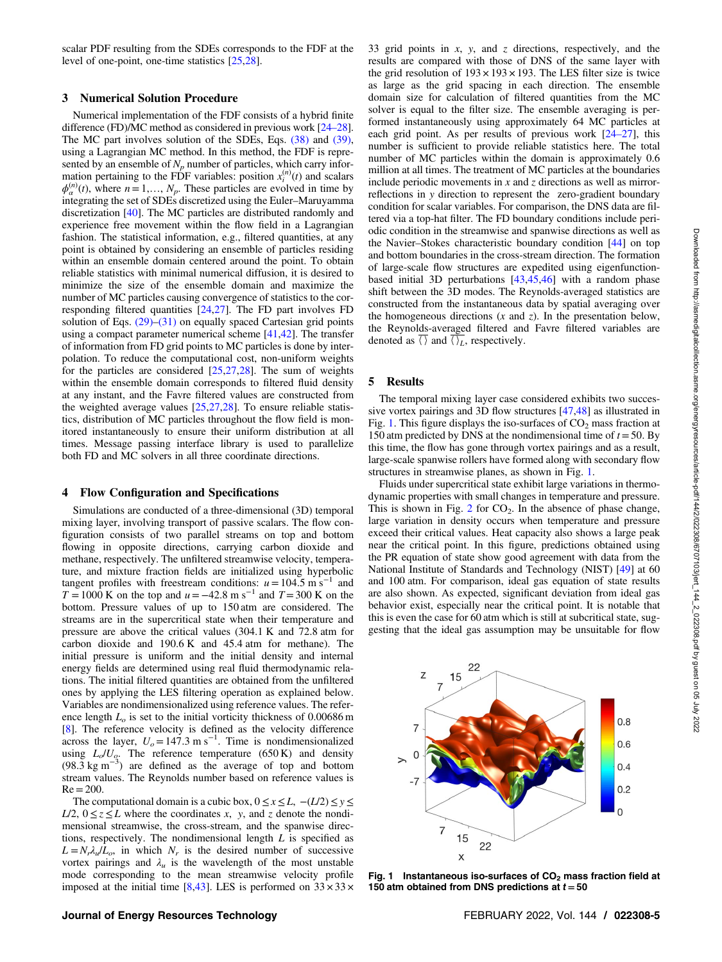scalar PDF resulting from the SDEs corresponds to the FDF at the level of one-point, one-time statistics [\[25](#page-7-0),[28\]](#page-7-0).

#### 3 Numerical Solution Procedure

Numerical implementation of the FDF consists of a hybrid finite difference (FD)/MC method as considered in previous work [24–28]. The MC part involves solution of the SDEs, Eqs. [\(38\)](#page-3-0) and [\(39\),](#page-3-0) using a Lagrangian MC method. In this method, the FDF is represented by an ensemble of  $N_p$  number of particles, which carry information pertaining to the FDF variables: position  $x_i^{(n)}(t)$  and scalars  $\phi_{\alpha}^{(n)}(t)$ , where  $n = 1,..., N_p$ . These particles are evolved in time by integrating the set of SDEs discretized using the Euler–Maruyamma discretization [\[40](#page-7-0)]. The MC particles are distributed randomly and experience free movement within the flow field in a Lagrangian fashion. The statistical information, e.g., filtered quantities, at any point is obtained by considering an ensemble of particles residing within an ensemble domain centered around the point. To obtain reliable statistics with minimal numerical diffusion, it is desired to minimize the size of the ensemble domain and maximize the number of MC particles causing convergence of statistics to the corresponding filtered quantities [\[24,27](#page-7-0)]. The FD part involves FD solution of Eqs.  $(29)$ – $(31)$  on equally spaced Cartesian grid points using a compact parameter numerical scheme [[41,42](#page-7-0)]. The transfer of information from FD grid points to MC particles is done by interpolation. To reduce the computational cost, non-uniform weights for the particles are considered [\[25](#page-7-0),[27,28\]](#page-7-0). The sum of weights within the ensemble domain corresponds to filtered fluid density at any instant, and the Favre filtered values are constructed from the weighted average values [[25,27,28](#page-7-0)]. To ensure reliable statistics, distribution of MC particles throughout the flow field is monitored instantaneously to ensure their uniform distribution at all times. Message passing interface library is used to parallelize both FD and MC solvers in all three coordinate directions.

#### 4 Flow Configuration and Specifications

Simulations are conducted of a three-dimensional (3D) temporal mixing layer, involving transport of passive scalars. The flow configuration consists of two parallel streams on top and bottom flowing in opposite directions, carrying carbon dioxide and methane, respectively. The unfiltered streamwise velocity, temperature, and mixture fraction fields are initialized using hyperbolic tangent profiles with freestream conditions:  $u=104.5$  m s<sup>-1</sup> and  $T = 1000$  K on the top and  $u = -42.8$  m s<sup>-1</sup> and  $T = 300$  K on the bottom. Pressure values of up to 150 atm are considered. The streams are in the supercritical state when their temperature and pressure are above the critical values (304.1 K and 72.8 atm for carbon dioxide and 190.6 K and 45.4 atm for methane). The initial pressure is uniform and the initial density and internal energy fields are determined using real fluid thermodynamic relations. The initial filtered quantities are obtained from the unfiltered ones by applying the LES filtering operation as explained below. Variables are nondimensionalized using reference values. The reference length  $L<sub>o</sub>$  is set to the initial vorticity thickness of 0.00686 m [[8](#page-6-0)]. The reference velocity is defined as the velocity difference across the layer,  $U_o = 147.3 \text{ m s}^{-1}$ . Time is nondimensionalized using  $L_o/U_o$ . The reference temperature (650 K) and density (98.3 kg m<sup>-3</sup>) are defined as the average of top and bottom stream values. The Reynolds number based on reference values is  $Re = 200$ .

The computational domain is a cubic box,  $0 \le x \le L$ ,  $-(L/2) \le y \le L$ L/2,  $0 \le z \le L$  where the coordinates x, y, and z denote the nondimensional streamwise, the cross-stream, and the spanwise directions, respectively. The nondimensional length  $L$  is specified as  $L = N_r \lambda_u/L_o$ , in which  $N_r$  is the desired number of successive vortex pairings and  $\lambda_u$  is the wavelength of the most unstable mode corresponding to the mean streamwise velocity profile imposed at the initial time [[8](#page-6-0)[,43\]](#page-7-0). LES is performed on  $33 \times 33 \times$  33 grid points in  $x$ ,  $y$ , and  $z$  directions, respectively, and the results are compared with those of DNS of the same layer with the grid resolution of  $193 \times 193 \times 193$ . The LES filter size is twice as large as the grid spacing in each direction. The ensemble domain size for calculation of filtered quantities from the MC solver is equal to the filter size. The ensemble averaging is performed instantaneously using approximately 64 MC particles at each grid point. As per results of previous work  $[24-27]$ , this number is sufficient to provide reliable statistics here. The total number of MC particles within the domain is approximately 0.6 million at all times. The treatment of MC particles at the boundaries include periodic movements in  $x$  and  $z$  directions as well as mirrorreflections in y direction to represent the zero-gradient boundary condition for scalar variables. For comparison, the DNS data are filtered via a top-hat filter. The FD boundary conditions include periodic condition in the streamwise and spanwise directions as well as the Navier–Stokes characteristic boundary condition [[44\]](#page-7-0) on top and bottom boundaries in the cross-stream direction. The formation of large-scale flow structures are expedited using eigenfunctionbased initial 3D perturbations [[43,45,46](#page-7-0)] with a random phase shift between the 3D modes. The Reynolds-averaged statistics are constructed from the instantaneous data by spatial averaging over the homogeneous directions  $(x \text{ and } z)$ . In the presentation below, the Reynolds-averaged filtered and Favre filtered variables are denoted as  $\overline{\langle }\rangle$  and  $\overline{\langle }\rangle_L$ , respectively.

#### 5 Results

The temporal mixing layer case considered exhibits two successive vortex pairings and 3D flow structures [[47,48](#page-7-0)] as illustrated in Fig. 1. This figure displays the iso-surfaces of  $CO<sub>2</sub>$  mass fraction at 150 atm predicted by DNS at the nondimensional time of  $t = 50$ . By this time, the flow has gone through vortex pairings and as a result, large-scale spanwise rollers have formed along with secondary flow structures in streamwise planes, as shown in Fig. 1.

Fluids under supercritical state exhibit large variations in thermodynamic properties with small changes in temperature and pressure. This is shown in Fig. [2](#page-5-0) for  $CO<sub>2</sub>$ . In the absence of phase change, large variation in density occurs when temperature and pressure exceed their critical values. Heat capacity also shows a large peak near the critical point. In this figure, predictions obtained using the PR equation of state show good agreement with data from the National Institute of Standards and Technology (NIST) [[49\]](#page-7-0) at 60 and 100 atm. For comparison, ideal gas equation of state results are also shown. As expected, significant deviation from ideal gas behavior exist, especially near the critical point. It is notable that this is even the case for 60 atm which is still at subcritical state, suggesting that the ideal gas assumption may be unsuitable for flow



Fig. 1 Instantaneous iso-surfaces of  $CO<sub>2</sub>$  mass fraction field at 150 atm obtained from DNS predictions at  $t = 50$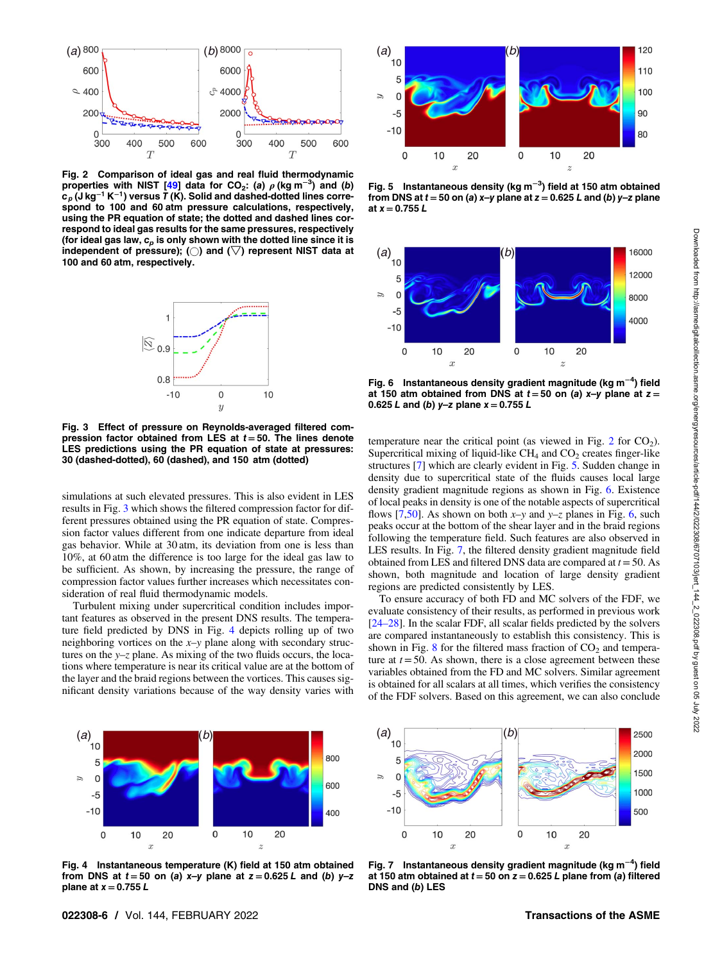<span id="page-5-0"></span>

Fig. 2 Comparison of ideal gas and real fluid thermodynamic properties with NIST [\[49](#page-7-0)] data for CO<sub>2</sub>: (a)  $\rho$  (kg m<sup>-3</sup>) and (b)  $c_p$  (J kg<sup>-1</sup> K<sup>-1</sup>) versus T (K). Solid and dashed-dotted lines correspond to 100 and 60 atm pressure calculations, respectively, using the PR equation of state; the dotted and dashed lines correspond to ideal gas results for the same pressures, respectively (for ideal gas law,  $c_p$  is only shown with the dotted line since it is independent of pressure); ( $\bigcirc$ ) and ( $\bigtriangledown$ ) represent NIST data at 100 and 60 atm, respectively.



Fig. 3 Effect of pressure on Reynolds-averaged filtered compression factor obtained from LES at  $t = 50$ . The lines denote LES predictions using the PR equation of state at pressures: 30 (dashed-dotted), 60 (dashed), and 150 atm (dotted)

simulations at such elevated pressures. This is also evident in LES results in Fig. 3 which shows the filtered compression factor for different pressures obtained using the PR equation of state. Compression factor values different from one indicate departure from ideal gas behavior. While at 30 atm, its deviation from one is less than 10%, at 60 atm the difference is too large for the ideal gas law to be sufficient. As shown, by increasing the pressure, the range of compression factor values further increases which necessitates consideration of real fluid thermodynamic models.

Turbulent mixing under supercritical condition includes important features as observed in the present DNS results. The temperature field predicted by DNS in Fig. 4 depicts rolling up of two neighboring vortices on the  $x-y$  plane along with secondary structures on the  $y-z$  plane. As mixing of the two fluids occurs, the locations where temperature is near its critical value are at the bottom of the layer and the braid regions between the vortices. This causes significant density variations because of the way density varies with



Fig. 4 Instantaneous temperature (K) field at 150 atm obtained from DNS at  $t = 50$  on (a) x-y plane at  $z = 0.625 L$  and (b) y-z plane at  $x = 0.755 L$ 



Fig. 5 Instantaneous density (kg m<sup>-3</sup>) field at 150 atm obtained from DNS at  $t = 50$  on (a) x-y plane at  $z = 0.625$  L and (b) y-z plane at  $x = 0.755 L$ 



Fig. 6 Instantaneous density gradient magnitude (kg m<sup>−4</sup>) field at 150 atm obtained from DNS at  $t = 50$  on (a) x-y plane at  $z =$ 0.625 L and (b) y-z plane  $x = 0.755$  L

temperature near the critical point (as viewed in Fig. 2 for  $CO<sub>2</sub>$ ). Supercritical mixing of liquid-like  $CH_4$  and  $CO_2$  creates finger-like structures [[7](#page-6-0)] which are clearly evident in Fig. 5. Sudden change in density due to supercritical state of the fluids causes local large density gradient magnitude regions as shown in Fig. 6. Existence of local peaks in density is one of the notable aspects of supercritical flows [[7](#page-6-0),[50\]](#page-7-0). As shown on both  $x-y$  and  $y-z$  planes in Fig. 6, such peaks occur at the bottom of the shear layer and in the braid regions following the temperature field. Such features are also observed in LES results. In Fig. 7, the filtered density gradient magnitude field obtained from LES and filtered DNS data are compared at  $t = 50$ . As shown, both magnitude and location of large density gradient regions are predicted consistently by LES.

To ensure accuracy of both FD and MC solvers of the FDF, we evaluate consistency of their results, as performed in previous work [24–28]. In the scalar FDF, all scalar fields predicted by the solvers are compared instantaneously to establish this consistency. This is shown in Fig.  $8$  for the filtered mass fraction of  $CO<sub>2</sub>$  and temperature at  $t = 50$ . As shown, there is a close agreement between these variables obtained from the FD and MC solvers. Similar agreement is obtained for all scalars at all times, which verifies the consistency of the FDF solvers. Based on this agreement, we can also conclude



Fig. 7 Instantaneous density gradient magnitude (kg m<sup>−4</sup>) field at 150 atm obtained at  $t = 50$  on  $z = 0.625$  L plane from (a) filtered DNS and (b) LES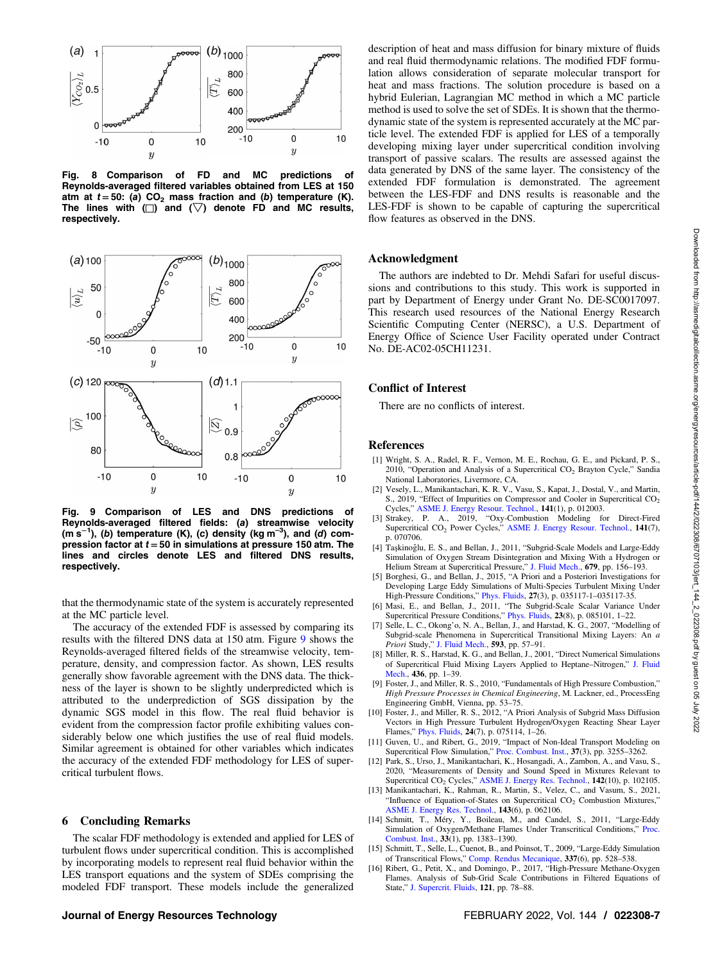<span id="page-6-0"></span>

Fig. 8 Comparison of FD and MC predictions of Reynolds-averaged filtered variables obtained from LES at 150 atm at  $t = 50$ : (a) CO<sub>2</sub> mass fraction and (b) temperature (K). The lines with  $\Box$ ) and  $(\nabla)$  denote FD and MC results, respectively.



Fig. 9 Comparison of LES and DNS predictions of Reynolds-averaged filtered fields: (a) streamwise velocity (m s<sup>-1</sup>), (b) temperature (K), (c) density (kg m<sup>-3</sup>), and (d) compression factor at  $t = 50$  in simulations at pressure 150 atm. The lines and circles denote LES and filtered DNS results, respectively.

that the thermodynamic state of the system is accurately represented at the MC particle level.

The accuracy of the extended FDF is assessed by comparing its results with the filtered DNS data at 150 atm. Figure 9 shows the Reynolds-averaged filtered fields of the streamwise velocity, temperature, density, and compression factor. As shown, LES results generally show favorable agreement with the DNS data. The thickness of the layer is shown to be slightly underpredicted which is attributed to the underprediction of SGS dissipation by the dynamic SGS model in this flow. The real fluid behavior is evident from the compression factor profile exhibiting values considerably below one which justifies the use of real fluid models. Similar agreement is obtained for other variables which indicates the accuracy of the extended FDF methodology for LES of supercritical turbulent flows.

#### 6 Concluding Remarks

The scalar FDF methodology is extended and applied for LES of turbulent flows under supercritical condition. This is accomplished by incorporating models to represent real fluid behavior within the LES transport equations and the system of SDEs comprising the modeled FDF transport. These models include the generalized

description of heat and mass diffusion for binary mixture of fluids and real fluid thermodynamic relations. The modified FDF formulation allows consideration of separate molecular transport for heat and mass fractions. The solution procedure is based on a hybrid Eulerian, Lagrangian MC method in which a MC particle method is used to solve the set of SDEs. It is shown that the thermodynamic state of the system is represented accurately at the MC particle level. The extended FDF is applied for LES of a temporally developing mixing layer under supercritical condition involving transport of passive scalars. The results are assessed against the data generated by DNS of the same layer. The consistency of the extended FDF formulation is demonstrated. The agreement between the LES-FDF and DNS results is reasonable and the LES-FDF is shown to be capable of capturing the supercritical flow features as observed in the DNS.

#### Acknowledgment

The authors are indebted to Dr. Mehdi Safari for useful discussions and contributions to this study. This work is supported in part by Department of Energy under Grant No. DE-SC0017097. This research used resources of the National Energy Research Scientific Computing Center (NERSC), a U.S. Department of Energy Office of Science User Facility operated under Contract No. DE-AC02-05CH11231.

#### Conflict of Interest

There are no conflicts of interest.

#### References

- [1] Wright, S. A., Radel, R. F., Vernon, M. E., Rochau, G. E., and Pickard, P. S., 2010, "Operation and Analysis of a Supercritical CO<sub>2</sub> Brayton Cycle," Sandia National Laboratories, Livermore, CA.
- [2] Vesely, L., Manikantachari, K. R. V., Vasu, S., Kapat, J., Dostal, V., and Martin, S., 2019, "Effect of Impurities on Compressor and Cooler in Supercritical CO<sub>2</sub> Cycles," [ASME J. Energy Resour. Technol.](http://dx.doi.org/10.1115/1.4040581), 141(1), p. 012003.
- [3] Strakey, P. A., 2019, "Oxy-Combustion Modeling for Direct-Fired Supercritical CO<sub>2</sub> Power Cycles," [ASME J. Energy Resour. Technol.](http://dx.doi.org/10.1115/1.4043124), 141(7), p. 070706.
- [4] Taşkinoğlu, E. S., and Bellan, J., 2011, "Subgrid-Scale Models and Large-Eddy Simulation of Oxygen Stream Disintegration and Mixing With a Hydrogen or Helium Stream at Supercritical Pressure," [J. Fluid Mech.](http://dx.doi.org/10.1017/jfm.2011.130), 679, pp. 156–193.
- Borghesi, G., and Bellan, J., 2015, "A Priori and a Posteriori Investigations for Developing Large Eddy Simulations of Multi-Species Turbulent Mixing Under High-Pressure Conditions," [Phys. Fluids](http://dx.doi.org/10.1063/1.4916284), 27(3), p. 035117-1–035117-35.
- [6] Masi, E., and Bellan, J., 2011, "The Subgrid-Scale Scalar Variance Under Supercritical Pressure Conditions," [Phys. Fluids](http://dx.doi.org/10.1063/1.3609282), 23(8), p. 085101, 1–22.
- [7] Selle, L. C., Okong'o, N. A., Bellan, J., and Harstad, K. G., 2007, "Modelling of Subgrid-scale Phenomena in Supercritical Transitional Mixing Layers: An a Priori Study," [J. Fluid Mech.](http://dx.doi.org/10.1017/S0022112007008075), 593, pp. 57–91.
- [8] Miller, R. S., Harstad, K. G., and Bellan, J., 2001, "Direct Numerical Simulations of Supercritical Fluid Mixing Layers Applied to Heptane–Nitrogen," [J. Fluid](http://dx.doi.org/10.1017/S0022112001003895) [Mech.,](http://dx.doi.org/10.1017/S0022112001003895) 436, pp. 1–39.
- [9] Foster, J., and Miller, R. S., 2010, "Fundamentals of High Pressure Combustion," High Pressure Processes in Chemical Engineering, M. Lackner, ed., ProcessEng Engineering GmbH, Vienna, pp. 53–75.
- [10] Foster, J., and Miller, R. S., 2012, "A Priori Analysis of Subgrid Mass Diffusion Vectors in High Pressure Turbulent Hydrogen/Oxygen Reacting Shear Layer Flames," [Phys. Fluids,](http://dx.doi.org/10.1063/1.4739065) 24(7), p. 075114, 1-26.<br>[11] Guven, U., and Ribert, G., 2019, "Impact of Non-Ideal Transport Modeling on
- Supercritical Flow Simulation," [Proc. Combust. Inst.](http://dx.doi.org/10.1016/j.proci.2018.05.013), 37(3), pp. 3255–3262.
- [12] Park, S., Urso, J., Manikantachari, K., Hosangadi, A., Zambon, A., and Vasu, S., 2020, "Measurements of Density and Sound Speed in Mixtures Relevant to Supercritical CO<sub>2</sub> Cycles," [ASME J. Energy Res. Technol.](http://dx.doi.org/10.1115/1.4047081), 142(10), p. 102105.
- [13] Manikantachari, K., Rahman, R., Martin, S., Velez, C., and Vasum, S., 2021, "Influence of Equation-of-States on Supercritical CO<sub>2</sub> Combustion Mixtures, [ASME J. Energy Res. Technol.](http://dx.doi.org/10.1115/1.4048666), 143(6), p. 062106.
- [14] Schmitt, T., Méry, Y., Boileau, M., and Candel, S., 2011, "Large-Eddy Simulation of Oxygen/Methane Flames Under Transcritical Conditions," [Proc.](http://dx.doi.org/10.1016/j.proci.2010.07.036) [Combust. Inst.](http://dx.doi.org/10.1016/j.proci.2010.07.036), 33(1), pp. 1383–1390.
- [15] Schmitt, T., Selle, L., Cuenot, B., and Poinsot, T., 2009, "Large-Eddy Simulation of Transcritical Flows," [Comp. Rendus Mecanique,](http://dx.doi.org/10.1016/j.crme.2009.06.022) 337(6), pp. 528–538.
- [16] Ribert, G., Petit, X., and Domingo, P., 2017, "High-Pressure Methane-Oxygen Flames. Analysis of Sub-Grid Scale Contributions in Filtered Equations of State," [J. Supercrit. Fluids,](http://dx.doi.org/10.1016/j.supflu.2016.08.020) 121, pp. 78–88.